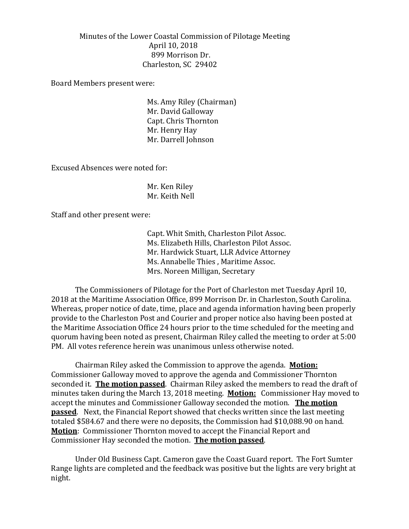Minutes of the Lower Coastal Commission of Pilotage Meeting April 10, 2018 899 Morrison Dr. Charleston, SC 29402

Board Members present were:

Ms. Amy Riley (Chairman) Mr. David Galloway Capt. Chris Thornton Mr. Henry Hay Mr. Darrell Johnson

Excused Absences were noted for:

Mr. Ken Riley Mr. Keith Nell

Staff and other present were:

Capt. Whit Smith, Charleston Pilot Assoc. Ms. Elizabeth Hills, Charleston Pilot Assoc. Mr. Hardwick Stuart, LLR Advice Attorney Ms. Annabelle Thies , Maritime Assoc. Mrs. Noreen Milligan, Secretary

The Commissioners of Pilotage for the Port of Charleston met Tuesday April 10, 2018 at the Maritime Association Office, 899 Morrison Dr. in Charleston, South Carolina. Whereas, proper notice of date, time, place and agenda information having been properly provide to the Charleston Post and Courier and proper notice also having been posted at the Maritime Association Office 24 hours prior to the time scheduled for the meeting and quorum having been noted as present, Chairman Riley called the meeting to order at 5:00 PM. All votes reference herein was unanimous unless otherwise noted.

Chairman Riley asked the Commission to approve the agenda. **Motion:** Commissioner Galloway moved to approve the agenda and Commissioner Thornton seconded it. **The motion passed**. Chairman Riley asked the members to read the draft of minutes taken during the March 13, 2018 meeting. **Motion:** Commissioner Hay moved to accept the minutes and Commissioner Galloway seconded the motion. **The motion passed**. Next, the Financial Report showed that checks written since the last meeting totaled \$584.67 and there were no deposits, the Commission had \$10,088.90 on hand. **Motion**: Commissioner Thornton moved to accept the Financial Report and Commissioner Hay seconded the motion. **The motion passed**.

Under Old Business Capt. Cameron gave the Coast Guard report. The Fort Sumter Range lights are completed and the feedback was positive but the lights are very bright at night.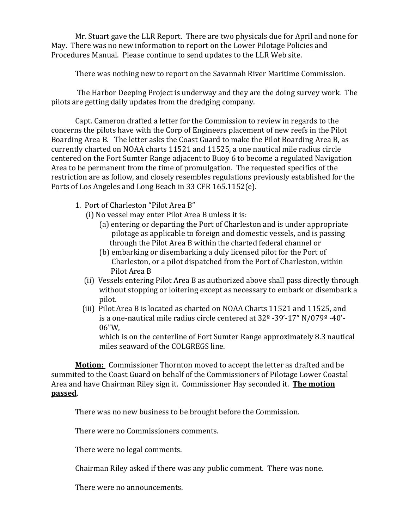Mr. Stuart gave the LLR Report. There are two physicals due for April and none for May. There was no new information to report on the Lower Pilotage Policies and Procedures Manual. Please continue to send updates to the LLR Web site.

There was nothing new to report on the Savannah River Maritime Commission.

The Harbor Deeping Project is underway and they are the doing survey work. The pilots are getting daily updates from the dredging company.

Capt. Cameron drafted a letter for the Commission to review in regards to the concerns the pilots have with the Corp of Engineers placement of new reefs in the Pilot Boarding Area B. The letter asks the Coast Guard to make the Pilot Boarding Area B, as currently charted on NOAA charts 11521 and 11525, a one nautical mile radius circle centered on the Fort Sumter Range adjacent to Buoy 6 to become a regulated Navigation Area to be permanent from the time of promulgation. The requested specifics of the restriction are as follow, and closely resembles regulations previously established for the Ports of Los Angeles and Long Beach in 33 CFR 165.1152(e).

- 1. Port of Charleston "Pilot Area B"
	- (i) No vessel may enter Pilot Area B unless it is:
		- (a) entering or departing the Port of Charleston and is under appropriate pilotage as applicable to foreign and domestic vessels, and is passing through the Pilot Area B within the charted federal channel or
		- (b) embarking or disembarking a duly licensed pilot for the Port of Charleston, or a pilot dispatched from the Port of Charleston, within Pilot Area B
	- (ii) Vessels entering Pilot Area B as authorized above shall pass directly through without stopping or loitering except as necessary to embark or disembark a pilot.
	- (iii) Pilot Area B is located as charted on NOAA Charts 11521 and 11525, and is a one-nautical mile radius circle centered at 32º -39'-17" N/079º -40'- 06"W,

which is on the centerline of Fort Sumter Range approximately 8.3 nautical miles seaward of the COLGREGS line.

**Motion:** Commissioner Thornton moved to accept the letter as drafted and be summited to the Coast Guard on behalf of the Commissioners of Pilotage Lower Coastal Area and have Chairman Riley sign it. Commissioner Hay seconded it. **The motion passed**.

There was no new business to be brought before the Commission.

There were no Commissioners comments.

There were no legal comments.

Chairman Riley asked if there was any public comment. There was none.

There were no announcements.